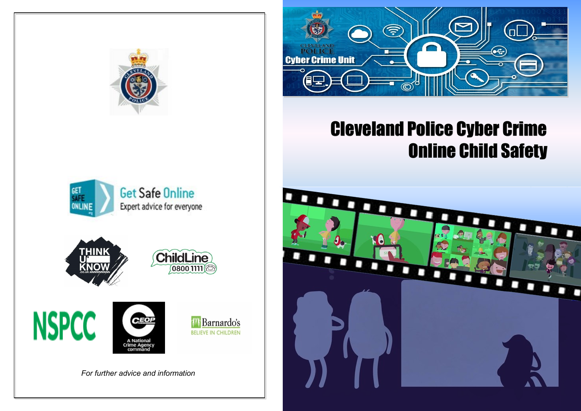













*For further advice and information*



## Cleveland Police Cyber Crime Online Child Safety

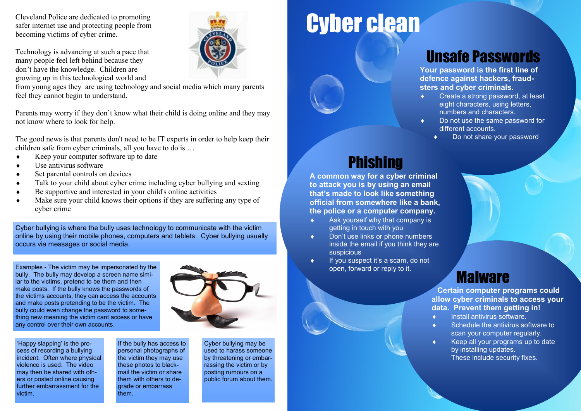Cleveland Police are dedicated to promoting safer internet use and protecting people from becoming victims of cyber crime.

Technology is advancing at such a pace that many people feel left behind because they don't have the knowledge. Children are growing up in this technological world and



from young ages they are using technology and social media which many parents feel they cannot begin to understand.

Parents may worry if they don't know what their child is doing online and they may not know where to look for help.

The good news is that parents don't need to be IT experts in order to help keep their children safe from cyber criminals, all you have to do is …

- ◆ Keep your computer software up to date
- Use antivirus software
- Set parental controls on devices
- Talk to your child about cyber crime including cyber bullying and sexting
- Be supportive and interested in your child's online activities
- Make sure your child knows their options if they are suffering any type of cyber crime

Cyber bullying is where the bully uses technology to communicate with the victim online by using their mobile phones, computers and tablets. Cyber bullying usually occurs via messages or social media.

Examples - The victim may be impersonated by the bully. The bully may develop a screen name similar to the victims, pretend to be them and then make posts. If the bully knows the passwords of the victims accounts, they can access the accounts and make posts pretending to be the victim. The bully could even change the password to something new meaning the victim cant access or have any control over their own accounts.



'Happy slapping' is the process of recording a bullying incident. Often where physical violence is used. The video may then be shared with others or posted online causing further embarrassment for the victim.

If the bully has access to personal photographs of the victim they may use these photos to blackmail the victim or share them with others to degrade or embarrass them.

Cyber bullying may be used to harass someone by threatening or embarrassing the victim or by posting rumours on a public forum about them.

# Cyber clean

## Unsafe Passwords

**Your password is the first line of defence against hackers, fraudsters and cyber criminals.**

- Create a strong password, at least eight characters, using letters, numbers and characters.
- ◆ Do not use the same password for different accounts.
	- Do not share your password

## **Phishing**

**A common way for a cyber criminal to attack you is by using an email that's made to look like something official from somewhere like a bank, the police or a computer company.**

- Ask yourself why that company is getting in touch with you
- Don't use links or phone numbers inside the email if you think they are suspicious
- If you suspect it's a scam, do not open, forward or reply to it.

### Malware

**Certain computer programs could allow cyber criminals to access your data. Prevent them getting in!**

- $\bullet$  Install antivirus software.
- Schedule the antivirus software to scan your computer regularly.
- Keep all your programs up to date by installing updates. These include security fixes.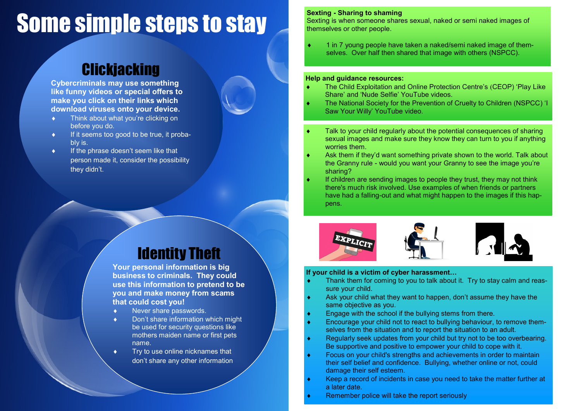# Some simple steps to stay

### **Clickjacking**

**Cybercriminals may use something like funny videos or special offers to make you click on their links which download viruses onto your device.** 

- **Think about what you're clicking on** before you do.
- $\bullet$  If it seems too good to be true, it probably is.
- $\bullet$  If the phrase doesn't seem like that person made it, consider the possibility they didn't.

#### Identity Theft

**Your personal information is big business to criminals. They could use this information to pretend to be you and make money from scams that could cost you!**

- ◆ Never share passwords.
- ◆ Don't share information which might be used for security questions like mothers maiden name or first pets name.
- Try to use online nicknames that don't share any other information

#### **Sexting - Sharing to shaming**

Sexting is when someone shares sexual, naked or semi naked images of themselves or other people.

 1 in 7 young people have taken a naked/semi naked image of themselves. Over half then shared that image with others (NSPCC).

#### **Help and guidance resources:**

- The Child Exploitation and Online Protection Centre's (CEOP) 'Play Like Share' and 'Nude Selfie' YouTube videos.
- The National Society for the Prevention of Cruelty to Children (NSPCC) 'I Saw Your Willy' YouTube video.
- Talk to your child regularly about the potential consequences of sharing sexual images and make sure they know they can turn to you if anything worries them.
- Ask them if they'd want something private shown to the world. Talk about the Granny rule - would you want your Granny to see the image you're sharing?
- If children are sending images to people they trust, they may not think there's much risk involved. Use examples of when friends or partners have had a falling-out and what might happen to the images if this happens.







#### **If your child is a victim of cyber harassment…**

- Thank them for coming to you to talk about it. Try to stay calm and reassure your child.
- Ask your child what they want to happen, don't assume they have the same objective as you.
- Engage with the school if the bullying stems from there.
- Encourage your child not to react to bullying behaviour, to remove themselves from the situation and to report the situation to an adult.
- Regularly seek updates from your child but try not to be too overbearing. Be supportive and positive to empower your child to cope with it.
- Focus on your child's strengths and achievements in order to maintain their self belief and confidence. Bullying, whether online or not, could damage their self esteem.
- Keep a record of incidents in case you need to take the matter further at a later date.
- Remember police will take the report seriously